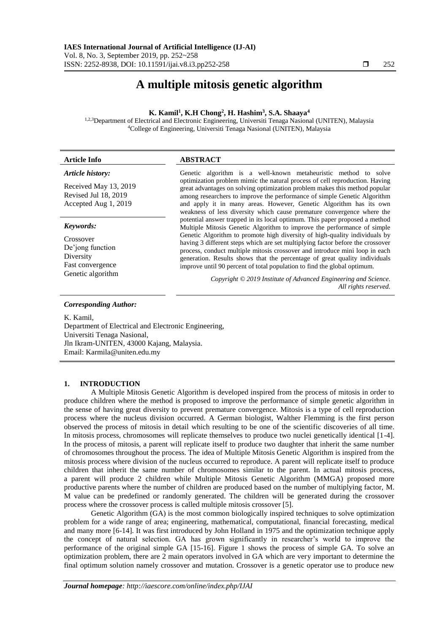# **A multiple mitosis genetic algorithm**

## **K. Kamil<sup>1</sup> , K.H Chong<sup>2</sup> , H. Hashim<sup>3</sup> , S.A. Shaaya<sup>4</sup>**

1,2,3Department of Electrical and Electronic Engineering, Universiti Tenaga Nasional (UNITEN), Malaysia <sup>4</sup>College of Engineering, Universiti Tenaga Nasional (UNITEN), Malaysia

| <b>Article Info</b>                                                                              | <b>ABSTRACT</b>                                                                                                                                                                                                                                                                                                                                                                                                                                                                                                                                                                                                                                            |  |  |
|--------------------------------------------------------------------------------------------------|------------------------------------------------------------------------------------------------------------------------------------------------------------------------------------------------------------------------------------------------------------------------------------------------------------------------------------------------------------------------------------------------------------------------------------------------------------------------------------------------------------------------------------------------------------------------------------------------------------------------------------------------------------|--|--|
| Article history:<br>Received May 13, 2019<br>Revised Jul 18, 2019<br>Accepted Aug 1, 2019        | Genetic algorithm is a well-known metable entirely method to solve<br>optimization problem mimic the natural process of cell reproduction. Having<br>great advantages on solving optimization problem makes this method popular<br>among researchers to improve the performance of simple Genetic Algorithm<br>and apply it in many areas. However, Genetic Algorithm has its own<br>weakness of less diversity which cause premature convergence where the                                                                                                                                                                                                |  |  |
| Keywords:<br>Crossover<br>De'jong function<br>Diversity<br>Fast convergence<br>Genetic algorithm | potential answer trapped in its local optimum. This paper proposed a method<br>Multiple Mitosis Genetic Algorithm to improve the performance of simple<br>Genetic Algorithm to promote high diversity of high-quality individuals by<br>having 3 different steps which are set multiplying factor before the crossover<br>process, conduct multiple mitosis crossover and introduce mini loop in each<br>generation. Results shows that the percentage of great quality individuals<br>improve until 90 percent of total population to find the global optimum.<br>Copyright © 2019 Institute of Advanced Engineering and Science.<br>All rights reserved. |  |  |

#### *Corresponding Author:*

K. Kamil, Department of Electrical and Electronic Engineering, Universiti Tenaga Nasional, Jln Ikram-UNITEN, 43000 Kajang, Malaysia. Email: Karmila@uniten.edu.my

# **1. INTRODUCTION**

A Multiple Mitosis Genetic Algorithm is developed inspired from the process of mitosis in order to produce children where the method is proposed to improve the performance of simple genetic algorithm in the sense of having great diversity to prevent premature convergence. Mitosis is a type of cell reproduction process where the nucleus division occurred. A German biologist, Walther Flemming is the first person observed the process of mitosis in detail which resulting to be one of the scientific discoveries of all time. In mitosis process, chromosomes will replicate themselves to produce two nuclei genetically identical [1-4]. In the process of mitosis, a parent will replicate itself to produce two daughter that inherit the same number of chromosomes throughout the process. The idea of Multiple Mitosis Genetic Algorithm is inspired from the mitosis process where division of the nucleus occurred to reproduce. A parent will replicate itself to produce children that inherit the same number of chromosomes similar to the parent. In actual mitosis process, a parent will produce 2 children while Multiple Mitosis Genetic Algorithm (MMGA) proposed more productive parents where the number of children are produced based on the number of multiplying factor, M. M value can be predefined or randomly generated. The children will be generated during the crossover process where the crossover process is called multiple mitosis crossover [5].

Genetic Algorithm (GA) is the most common biologically inspired techniques to solve optimization problem for a wide range of area; engineering, mathematical, computational, financial forecasting, medical and many more [6-14]. It was first introduced by John Holland in 1975 and the optimization technique apply the concept of natural selection. GA has grown significantly in researcher's world to improve the performance of the original simple GA [15-16]. Figure 1 shows the process of simple GA. To solve an optimization problem, there are 2 main operators involved in GA which are very important to determine the final optimum solution namely crossover and mutation. Crossover is a genetic operator use to produce new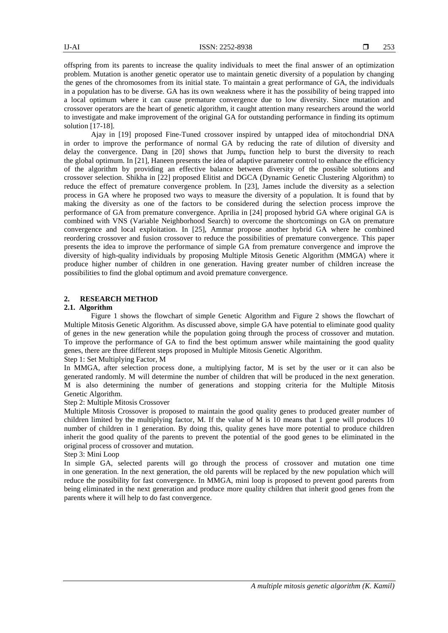offspring from its parents to increase the quality individuals to meet the final answer of an optimization problem. Mutation is another genetic operator use to maintain genetic diversity of a population by changing the genes of the chromosomes from its initial state. To maintain a great performance of GA, the individuals in a population has to be diverse. GA has its own weakness where it has the possibility of being trapped into a local optimum where it can cause premature convergence due to low diversity. Since mutation and crossover operators are the heart of genetic algorithm, it caught attention many researchers around the world to investigate and make improvement of the original GA for outstanding performance in finding its optimum solution [17-18].

Ajay in [19] proposed Fine-Tuned crossover inspired by untapped idea of mitochondrial DNA in order to improve the performance of normal GA by reducing the rate of dilution of diversity and delay the convergence. Dang in  $[20]$  shows that Jump<sub>k</sub> function help to burst the diversity to reach the global optimum. In [21], Haneen presents the idea of adaptive parameter control to enhance the efficiency of the algorithm by providing an effective balance between diversity of the possible solutions and crossover selection. Shikha in [22] proposed Elitist and DGCA (Dynamic Genetic Clustering Algorithm) to reduce the effect of premature convergence problem. In [23], James include the diversity as a selection process in GA where he proposed two ways to measure the diversity of a population. It is found that by making the diversity as one of the factors to be considered during the selection process improve the performance of GA from premature convergence. Aprilia in [24] proposed hybrid GA where original GA is combined with VNS (Variable Neighborhood Search) to overcome the shortcomings on GA on premature convergence and local exploitation. In [25], Ammar propose another hybrid GA where he combined reordering crossover and fusion crossover to reduce the possibilities of premature convergence. This paper presents the idea to improve the performance of simple GA from premature convergence and improve the diversity of high-quality individuals by proposing Multiple Mitosis Genetic Algorithm (MMGA) where it produce higher number of children in one generation. Having greater number of children increase the possibilities to find the global optimum and avoid premature convergence.

## **2. RESEARCH METHOD**

#### **2.1. Algorithm**

Figure 1 shows the flowchart of simple Genetic Algorithm and Figure 2 shows the flowchart of Multiple Mitosis Genetic Algorithm. As discussed above, simple GA have potential to eliminate good quality of genes in the new generation while the population going through the process of crossover and mutation. To improve the performance of GA to find the best optimum answer while maintaining the good quality genes, there are three different steps proposed in Multiple Mitosis Genetic Algorithm.

## Step 1: Set Multiplying Factor, M

In MMGA, after selection process done, a multiplying factor, M is set by the user or it can also be generated randomly. M will determine the number of children that will be produced in the next generation. M is also determining the number of generations and stopping criteria for the Multiple Mitosis Genetic Algorithm.

#### Step 2: Multiple Mitosis Crossover

Multiple Mitosis Crossover is proposed to maintain the good quality genes to produced greater number of children limited by the multiplying factor, M. If the value of M is 10 means that 1 gene will produces 10 number of children in 1 generation. By doing this, quality genes have more potential to produce children inherit the good quality of the parents to prevent the potential of the good genes to be eliminated in the original process of crossover and mutation.

## Step 3: Mini Loop

In simple GA, selected parents will go through the process of crossover and mutation one time in one generation. In the next generation, the old parents will be replaced by the new population which will reduce the possibility for fast convergence. In MMGA, mini loop is proposed to prevent good parents from being eliminated in the next generation and produce more quality children that inherit good genes from the parents where it will help to do fast convergence.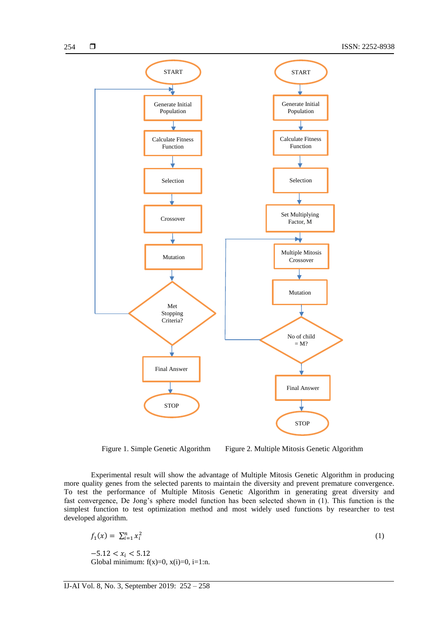

Figure 1. Simple Genetic Algorithm Figure 2. Multiple Mitosis Genetic Algorithm

**STOP** 

Experimental result will show the advantage of Multiple Mitosis Genetic Algorithm in producing more quality genes from the selected parents to maintain the diversity and prevent premature convergence. To test the performance of Multiple Mitosis Genetic Algorithm in generating great diversity and fast convergence, De Jong's sphere model function has been selected shown in (1). This function is the simplest function to test optimization method and most widely used functions by researcher to test developed algorithm.

$$
f_1(x) = \sum_{i=1}^n x_i^2
$$
  
-5.12 < x<sub>i</sub> < 5.12 (1)

Global minimum:  $f(x)=0$ ,  $x(i)=0$ ,  $i=1:n$ .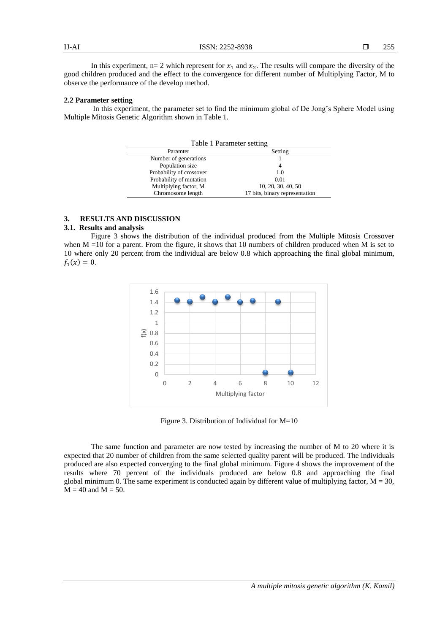In this experiment,  $n=2$  which represent for  $x_1$  and  $x_2$ . The results will compare the diversity of the good children produced and the effect to the convergence for different number of Multiplying Factor, M to observe the performance of the develop method.

#### **2.2 Parameter setting**

In this experiment, the parameter set to find the minimum global of De Jong's Sphere Model using Multiple Mitosis Genetic Algorithm shown in Table 1.

| Table 1 Parameter setting |                                |  |  |
|---------------------------|--------------------------------|--|--|
| Paramter                  | Setting                        |  |  |
| Number of generations     |                                |  |  |
| Population size           | 4                              |  |  |
| Probability of crossover  | 1.0                            |  |  |
| Probability of mutation   | 0.01                           |  |  |
| Multiplying factor, M     | 10, 20, 30, 40, 50             |  |  |
| Chromosome length         | 17 bits, binary representation |  |  |

# **3. RESULTS AND DISCUSSION**

# **3.1. Results and analysis**

Figure 3 shows the distribution of the individual produced from the Multiple Mitosis Crossover when  $M = 10$  for a parent. From the figure, it shows that 10 numbers of children produced when M is set to 10 where only 20 percent from the individual are below 0.8 which approaching the final global minimum,  $f_1(x) = 0.$ 



Figure 3. Distribution of Individual for M=10

The same function and parameter are now tested by increasing the number of M to 20 where it is expected that 20 number of children from the same selected quality parent will be produced. The individuals produced are also expected converging to the final global minimum. Figure 4 shows the improvement of the results where 70 percent of the individuals produced are below 0.8 and approaching the final global minimum 0. The same experiment is conducted again by different value of multiplying factor,  $M = 30$ ,  $M = 40$  and  $M = 50$ .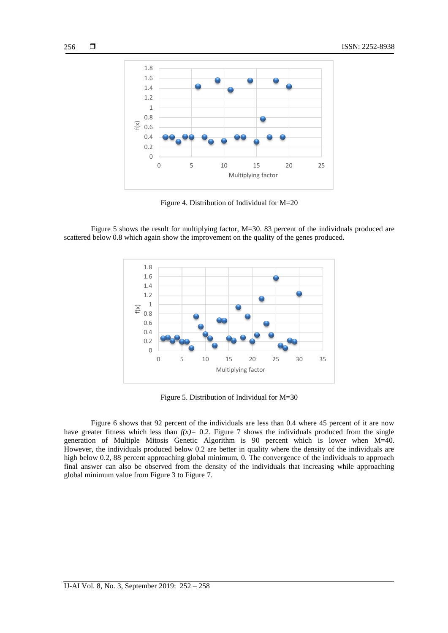

Figure 4. Distribution of Individual for M=20

Figure 5 shows the result for multiplying factor, M=30. 83 percent of the individuals produced are scattered below 0.8 which again show the improvement on the quality of the genes produced.



Figure 5. Distribution of Individual for M=30

Figure 6 shows that 92 percent of the individuals are less than 0.4 where 45 percent of it are now have greater fitness which less than  $f(x)=0.2$ . Figure 7 shows the individuals produced from the single generation of Multiple Mitosis Genetic Algorithm is 90 percent which is lower when M=40. However, the individuals produced below 0.2 are better in quality where the density of the individuals are high below 0.2, 88 percent approaching global minimum, 0. The convergence of the individuals to approach final answer can also be observed from the density of the individuals that increasing while approaching global minimum value from Figure 3 to Figure 7.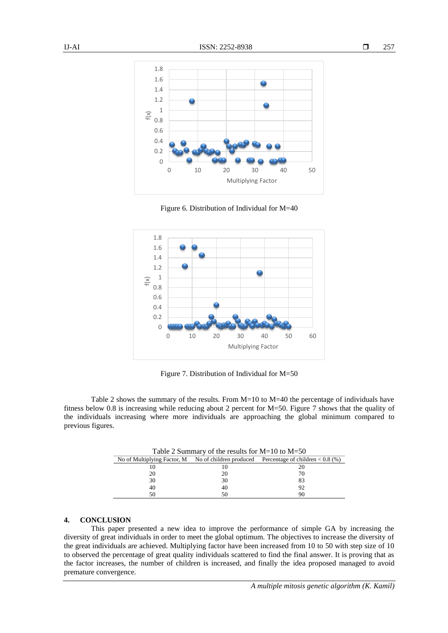





Figure 7. Distribution of Individual for M=50

Table 2 shows the summary of the results. From M=10 to M=40 the percentage of individuals have fitness below 0.8 is increasing while reducing about 2 percent for M=50. Figure 7 shows that the quality of the individuals increasing where more individuals are approaching the global minimum compared to previous figures.

| Table 2 Summary of the results for $M=10$ to $M=50$ |    |                                                                                        |  |
|-----------------------------------------------------|----|----------------------------------------------------------------------------------------|--|
|                                                     |    | No of Multiplying Factor, M No of children produced Percentage of children $< 0.8$ (%) |  |
|                                                     |    | 20                                                                                     |  |
| 20                                                  | 20 | 70                                                                                     |  |
| 30                                                  | 30 | 83                                                                                     |  |
| 40                                                  | 40 | 92                                                                                     |  |
| 50                                                  |    | 90                                                                                     |  |

#### **4. CONCLUSION**

This paper presented a new idea to improve the performance of simple GA by increasing the diversity of great individuals in order to meet the global optimum. The objectives to increase the diversity of the great individuals are achieved. Multiplying factor have been increased from 10 to 50 with step size of 10 to observed the percentage of great quality individuals scattered to find the final answer. It is proving that as the factor increases, the number of children is increased, and finally the idea proposed managed to avoid premature convergence.